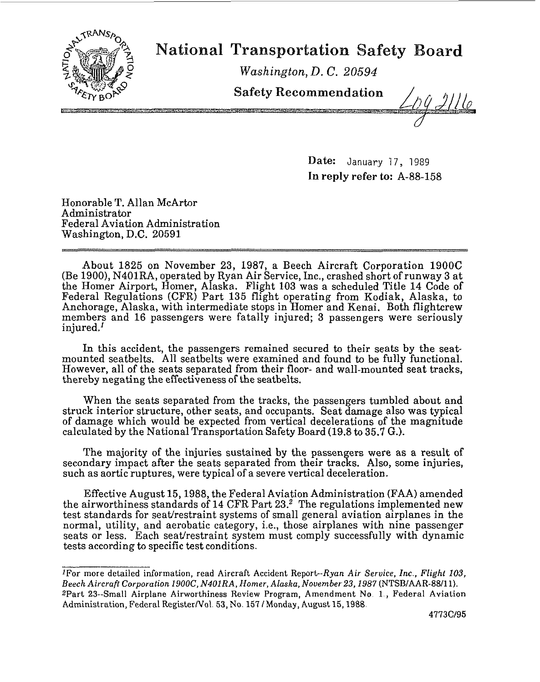

## **National Transportation Safety Board**

*Washington, D.* **C. 20594** 

**Safety Recommendation** 

Date: January 17, 1989 **In** reply refer **to:** A-88-158

Honorable T. Allan McArtor Administrator Federal Aviation Administration Washington, D.C. 20591

About 1825 on November 23, 1987, a Beech Aircraft Corporation 190OC (Be 1900), N401RA, operated by Ryan Air Service, Inc., crashed short of runway 3 at Federal Regulations (CFR) Part 135 flight operating from Kodiak, Alaska, to Anchorage, Alaska, with intermediate stops in Homer and Kenai. Both flightcrew members and 16 passengers were fatally injured; 3 passengers were seriously injured.' the Homer Airport, Homer, Alaska. Flight 103 was a scheduled Title 14 Code of

In this accident, the passengers remained secured to their seats by the seatmounted seatbelts. All seatbelts were examined and found to be fully functional. However, all of the seats separated from their floor- and wall-mounted seat tracks, thereby negating the effectiveness of the seatbelts.

When the seats separated from the tracks, the passengers tumbled about and struck interior structure, other seats, and occupants. Seat damage also was typical of damage which would be expected from vertical decelerations of the magnitude calculated by the National Transportation Safety Board (19.8 to 35.7 G.).

The majority of the injuries sustained by the passengers were as a result of secondary impact after the seats separated from their tracks. Also, some injuries, such as aortic ruptures, were typical of a severe vertical deceleration.

Effective August 15,1988, the Federal Aviation Administration (FAA) amended the airworthiness standards of **14** CFR Part 23.2 The regulations implemented new test standards for seat/restraint systems of small general aviation airplanes in the normal, utility, and aerobatic category, i.e., those airplanes with nine passenger seats or less. Each seat/restraint system must comply successfully with dynamic tests accarding to specific test conditions.

<sup>1</sup>For **more detailed information, read Aircraft Accident Report-Ryan Air Seruice, Inc** , **Flight 103, Beech Aircraft Corporation** *19OOC,* **N4OlRA, Homer, Alaska, November 23,1987 (NTSBIAAR-BBIIl). ZPart 23--Small Airplane Airworthiness Review Program, Amendment No 1** , **Federal Aviation Administration, Federal RegisterNol 53, No 157 /Monday, August 15,1988**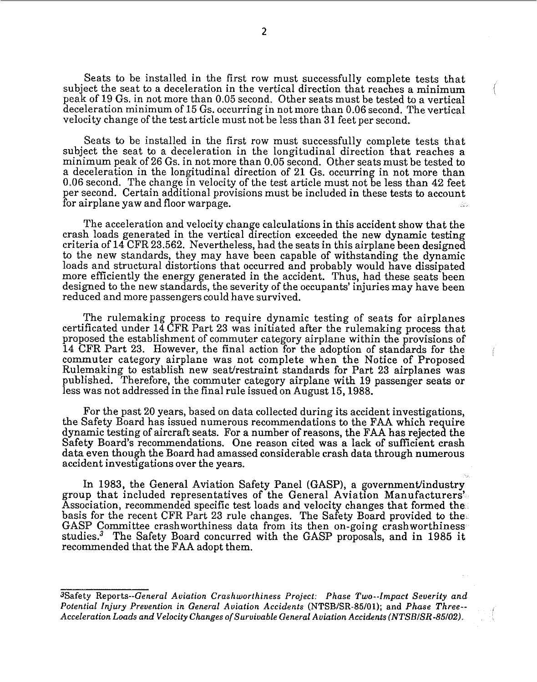Seats to be installed in the first row must successfully complete tests that subject the seat to a deceleration in the vertical direction that reaches a minimum peak of 19 Gs. in not more than 0.05 second. Other seats must be tested to a vertical deceleration minimum of 15 Gs. occurring in not more than 0.06 second. The vertical velocity change of the test article must not be less than 31 feet per second.

Seats to be installed in the first row must successfully complete tests that subject the seat to a deceleration in the longitudinal direction that reaches a minimum peak of 26 Gs. in not more than 0.05 second. Other seats must be tested to a deceleration in the longitudinal direction of 21 Gs. occurring in not more than 0.06 second. The change in velocity of the test article must not be less than 42 feet er second. Certain additional provisions must be included in these tests to account for airplane yaw and floor warpage.  $\mathcal{V}_1 \mathcal{O}_2$ 

The acceleration and velocity change calculations in this accident show that the crash loads generated in the vertical direction exceeded the new dynamic testing criteria of 14 CFR 23.562. Nevertheless, had the seats in this airplane been designed to the new standards, they may have been capable of withstanding the dynamic loads and structural distortions that occurred and probably would have dissipated more efficiently the energy enerated in the accident. Thus, had these seats been designed to the new standards, the severity of the occupants' injuries may have been reduced and more passengers could have survived.

The rulemaking process to require dynamic testing of seats for airplanes certificated under 14 CFR Part 23 was initiated after the rulemaking process that proposed the establishment of commuter category airplane within the provisions of 14 CFR Part 23. However, the final action for the adoption of standards for the commuter category airplane was not complete when the Notice of Proposed Rulemaking to establish new seat/restraint standards for Part 23 airplanes was published. Therefore, the commuter category airplane with 19 passenger seats or less was not addressed in the final rule issued on August 15,1988.

For the past 20 years, based on data collected during its accident investigations, the Safety Board has issued numerous recommendations to the FAA which require dynamic testing of aircraft seats. For a number of reasons, the FAA has rejected the Safety Board's recommendations. One reason cited was a lack of sufficient erash data even though the Board had amassed considerable crash data through numerous accident investigations over the years.

In 1983, the General Aviation Safety Panel (GASP), a government/industry group that included representatives of the General Aviation Manufacturers' Association, recommended specific test loads and velocity changes that formed the GASP Committee crashworthiness data from its then on-going crashworthiness studies? The Safety Board concurred with the GASP proposals, and in 1985 it recommended that the FAA adopt them. basis for the recent CFR Part 23 rule changes. The Safety Board provided to the

*3Safety Reports-General Aviation Crashworthiness Project. Phase Two--Impact Severity and Potential Injury Prevention in General Aviation Accidents (NTSB/SR-86/01); and Phase Three-Acceleration Loads and Velocity Chnnges of Survivable General Aviation Accidents (NTSBISR-85/02).*